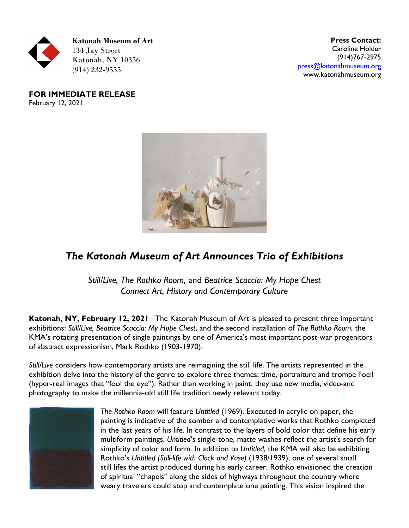

**Press Contact:**  Caroline Holder (914)767-2975 [press@katonahmuseum.org](mailto:press@katonahmuseum.org) www.katonahmuseum.org

**FOR IMMEDIATE RELEASE** February 12, 2021



## *The Katonah Museum of Art Announces Trio of Exhibitions*

*Still/Live, The Rothko Room,* and *Beatrice Scaccia: My Hope Chest Connect Art, History and Contemporary Culture*

**Katonah, NY, February 12, 2021**– The Katonah Museum of Art is pleased to present three important exhibitions: *Still/Live, Beatrice Scaccia: My Hope Chest*, and the second installation of *The Rothko Room*, the KMA's rotating presentation of single paintings by one of America's most important post-war progenitors of abstract expressionism, Mark Rothko (1903-1970).

*Still/Live* considers how contemporary artists are reimagining the still life. The artists represented in the exhibition delve into the history of the genre to explore three themes: time, portraiture and trompe l'oeil (hyper-real images that "fool the eye"). Rather than working in paint, they use new media, video-and photography to make the millennia-old still life tradition newly relevant today.



*The Rothko Room* will feature *Untitled* (1969). Executed in acrylic on paper, the painting is indicative of the somber and contemplative works that Rothko completed in the last years of his life. In contrast to the layers of bold color that define his early multiform paintings, *Untitled*'s single-tone, matte washes reflect the artist's search for simplicity of color and form. In addition to *Untitled*, the KMA will also be exhibiting Rothko's *Untitled (Still-life with Clock and Vase)* (1938/1939), one of several small still lifes the artist produced during his early career. Rothko envisioned the creation of spiritual "chapels" along the sides of highways throughout the country where weary travelers could stop and contemplate one painting. This vision inspired the